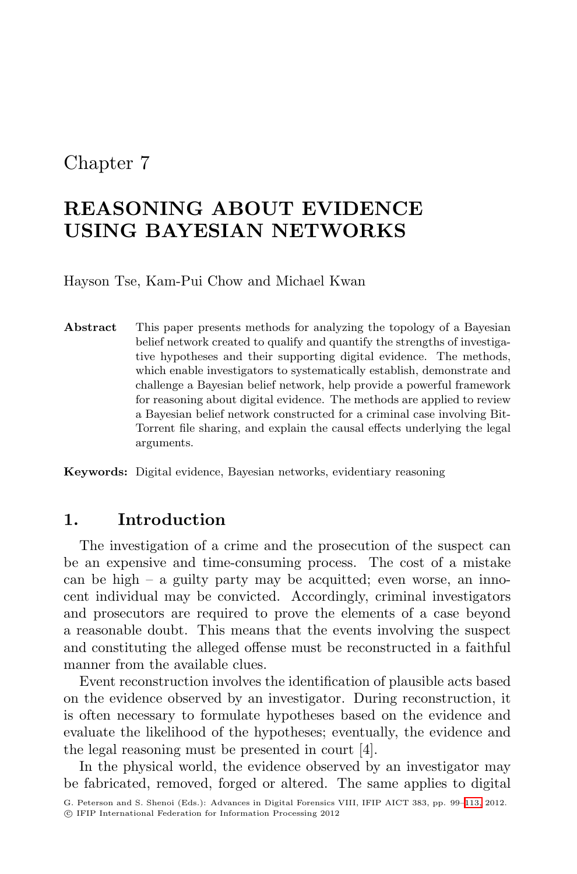# Chapter 7

# **REASONING ABOUT EVIDENCE USING BAYESIAN NETWORKS**

Hayson Tse, Kam-Pui Chow and Michael Kwan

**Abstract** This paper presents methods for analyzing the topology of a Bayesian belief network created to qualify and quantify the strengths of investigative hypotheses and their supporting digital evidence. The methods, which enable investigators to systematically establish, demonstrate and challenge a Bayesian belief network, help provide a powerful framework for reasoning about digital evidence. The methods are applied to review a Bayesian belief network constructed for a criminal case involving Bit-Torrent file sharing, and explain the causal effects underlying the legal arguments.

**Keywords:** Digital evidence, Bayesian networks, evidentiary reasoning

## **1. Introduction**

The investigation of a crime and the prosecution of the suspect can be an expensive and time-consuming process. The cost of a mistake can be high  $-$  a guilty party may be acquitted; even worse, an innocent individual may be convicted. Accordingly, criminal investigators and prosecutors are required to prove the elements of a case beyond a reasonable doubt. This means that the events involving the suspect and constituting the alleged offense must be reconstructed in a faithful manner from the available clues.

Event reconstruction involves the identificatio[n o](#page-14-0)f plausible acts based on the evidence observed by an investigator. During reconstruction, it is often necessary to formulate hypotheses based on the evidence and evaluate the likelihood of the hypotheses; eventually, the evidence and the legal reasoning must be presented in court [4].

In the physical world, the evidence observed by an investigator may be fabricated, removed, forged or altered. The same applies to digital G. Peterson and S. Shenoi (Eds.): Advances in Digital Forensics VIII, IFIP AICT 383, pp. 99–113, 2012. -c IFIP International Federation for Information Processing 2012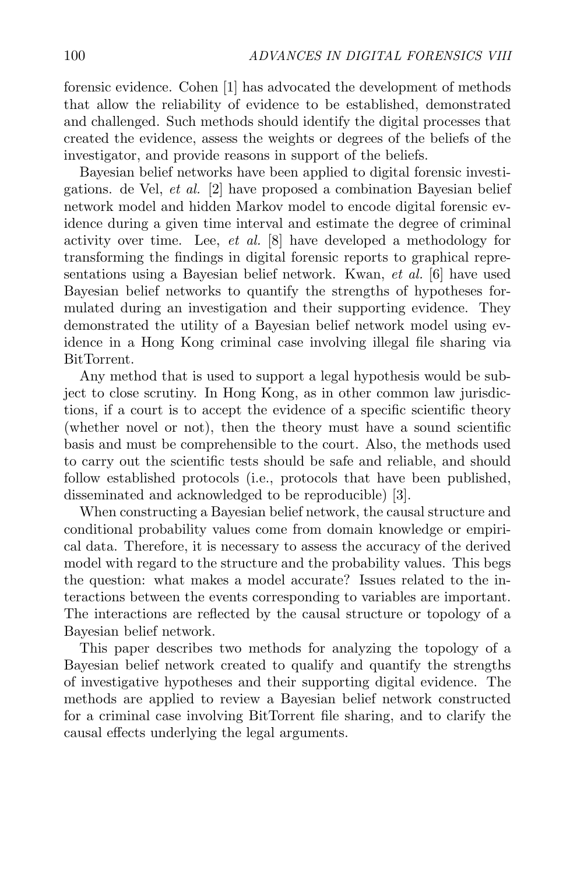forensic evidence. Cohen [1] has advocated the development of methods that allow the reliability of evidence to be established, demonstrated and challenged. Such methods should identify the digital processes that created the evidence, assess the weights or degrees of the beliefs of the investigator, and provide reasons in support of the beliefs.

Bayesian belief networks have been applied to digital forensic investigations. de Vel, et al. [2] have proposed a combination Bayesian belief network model and hidden Markov model to encode digital forensic evidence during a given time interval and estimate the degree of criminal activity over time. Lee, et al. [8] have developed a methodology for transforming the findings in digital forensic reports to graphical representations using a Bayesian belief network. Kwan, et al. [6] have used Bayesian belief networks to quantify the strengths of hypotheses formulated during an investigation and their supporting evidence. They demonstrated the utility of a Bayesian belief network model using evidence in a Hong Kong criminal case involving illegal file sharing via BitTorrent.

Any method that is used to support a legal hypothesis would be subject to close scrutiny. In Hong Kong, as in other common law jurisdictions, if a court is to accept the evidence of a specific scientific theory (whether novel or not), then the theory must have a sound scientific basis and must be comprehensible to the court. Also, the methods used to carry out the scientific tests should be safe and reliable, and should follow established protocols (i.e., protocols that have been published, disseminated and acknowledged to be reproducible) [3].

When constructing a Bayesian belief network, the causal structure and conditional probability values come from domain knowledge or empirical data. Therefore, it is necessary to assess the accuracy of the derived model with regard to the structure and the probability values. This begs the question: what makes a model accurate? Issues related to the interactions between the events corresponding to variables are important. The interactions are reflected by the causal structure or topology of a Bayesian belief network.

This paper describes two methods for analyzing the topology of a Bayesian belief network created to qualify and quantify the strengths of investigative hypotheses and their supporting digital evidence. The methods are applied to review a Bayesian belief network constructed for a criminal case involving BitTorrent file sharing, and to clarify the causal effects underlying the legal arguments.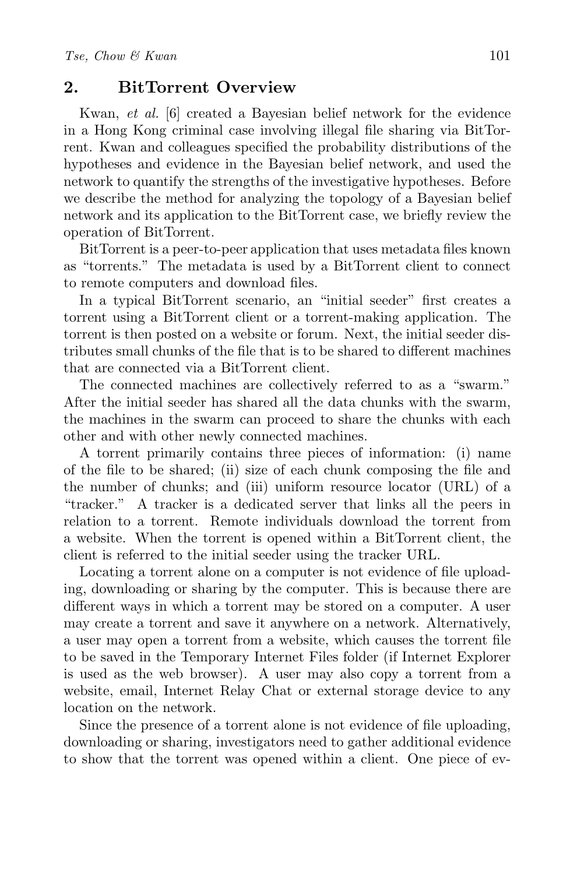#### **2. BitTorrent Overview**

Kwan, et al. [6] created a Bayesian belief network for the evidence in a Hong Kong criminal case involving illegal file sharing via BitTorrent. Kwan and colleagues specified the probability distributions of the hypotheses and evidence in the Bayesian belief network, and used the network to quantify the strengths of the investigative hypotheses. Before we describe the method for analyzing the topology of a Bayesian belief network and its application to the BitTorrent case, we briefly review the operation of BitTorrent.

BitTorrent is a peer-to-peerapplication that uses metadata files known as "torrents." The metadata is used by a BitTorrent client to connect to remote computers and download files.

In a typical BitTorrent scenario, an "initial seeder" first creates a torrent using a BitTorrent client or a torrent-making application. The torrent is then posted on a website or forum. Next, the initial seeder distributes small chunks of the file that is to be shared to different machines that are connected via a BitTorrent client.

The connected machines are collectively referred to as a "swarm." After the initial seeder has shared all the data chunks with the swarm, the machines in the swarm can proceed to share the chunks with each other and with other newly connected machines.

A torrent primarily contains three pieces of information: (i) name of the file to be shared; (ii) size of each chunk composing the file and the number of chunks; and (iii) uniform resource locator (URL) of a "tracker." A tracker is a dedicated server that links all the peers in relation to a torrent. Remote individuals download the torrent from a website. When the torrent is opened within a BitTorrent client, the client is referred to the initial seeder using the tracker URL.

Locating a torrent alone on a computer is not evidence of file uploading, downloading or sharing by the computer. This is because there are different ways in which a torrent may be stored on a computer. A user may create a torrent and save it anywhere on a network. Alternatively, a user may open a torrent from a website, which causes the torrent file to be saved in the Temporary Internet Files folder (if Internet Explorer is used as the web browser). A user may also copy a torrent from a website, email, Internet Relay Chat or external storage device to any location on the network.

Since the presence of a torrent alone is not evidence of file uploading, downloading or sharing, investigators need to gather additional evidence to show that the torrent was opened within a client. One piece of ev-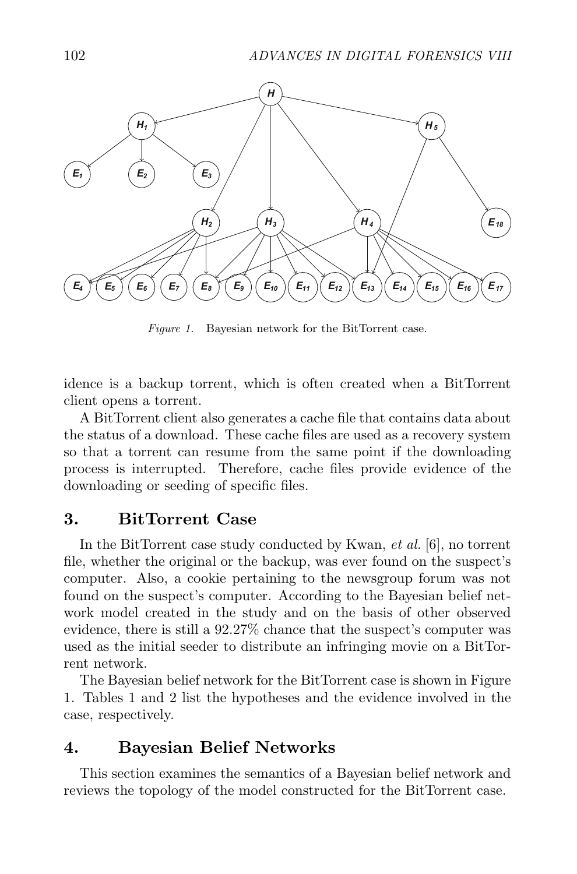

Figure 1. Bayesian network for the BitTorrent case.

idence is a backup torrent, which is often created when a BitTorrent client opens a torrent.

A BitTorrent client also generates a cache file that contains data about the status of a download. These cache files are used as a recovery system so that a torrent can resume from the same point if the downloading process is interrupted. Therefore, cache files provide evidence of the downloading or seeding of specific files.

#### **3. BitTorrent Case**

In the BitTorrent case study conducted by Kwan, et al. [6], no torrent file, whether the original or the backup, was ever found on the suspect's computer. Also, a cookie pertaining to the newsgroup forum was not found on the suspect's computer. According to the Bayesian belief network model created in the study and on the basis of other observed evidence, there is still a 92.27% chance that the suspect's computer was used as the initial seeder to distribute an infringing movie on a BitTorrent network.

The Bayesian belief network for the BitTorrent case is shown in Figure 1. Tables 1 and 2 list the hypotheses and the evidence involved in the case, respectively.

## **4. Bayesian Belief Networks**

This section examines the semantics of a Bayesian belief network and reviews the topology of the model constructed for the BitTorrent case.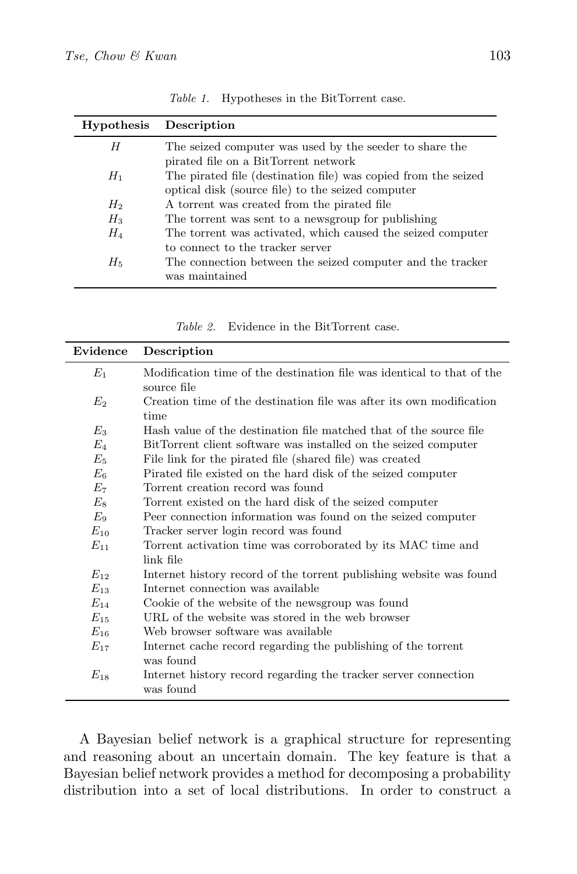| <b>Hypothesis</b> | Description                                                    |
|-------------------|----------------------------------------------------------------|
| Н                 | The seized computer was used by the seeder to share the        |
|                   | pirated file on a BitTorrent network                           |
| $H_1$             | The pirated file (destination file) was copied from the seized |
|                   | optical disk (source file) to the seized computer              |
| $H_2$             | A torrent was created from the pirated file                    |
| $H_3$             | The torrent was sent to a newsgroup for publishing             |
| $H_4$             | The torrent was activated, which caused the seized computer    |
|                   | to connect to the tracker server                               |
| $H_5$             | The connection between the seized computer and the tracker     |
|                   | was maintained                                                 |

Table 1. Hypotheses in the BitTorrent case.

| <i>Table 2.</i> Evidence in the BitTorrent case. |  |
|--------------------------------------------------|--|
|--------------------------------------------------|--|

| Evidence       | Description                                                            |
|----------------|------------------------------------------------------------------------|
| $E_1$          | Modification time of the destination file was identical to that of the |
|                | source file                                                            |
| E <sub>2</sub> | Creation time of the destination file was after its own modification   |
|                | time                                                                   |
| $E_3$          | Hash value of the destination file matched that of the source file     |
| $E_4$          | BitTorrent client software was installed on the seized computer        |
| $E_5$          | File link for the pirated file (shared file) was created               |
| $E_6$          | Pirated file existed on the hard disk of the seized computer           |
| $E_7$          | Torrent creation record was found                                      |
| $E_8$          | Torrent existed on the hard disk of the seized computer                |
| $E_9$          | Peer connection information was found on the seized computer           |
| $E_{10}$       | Tracker server login record was found                                  |
| $E_{11}$       | Torrent activation time was corroborated by its MAC time and           |
|                | link file                                                              |
| $E_{12}$       | Internet history record of the torrent publishing website was found    |
| $E_{13}$       | Internet connection was available                                      |
| $E_{14}$       | Cookie of the website of the newsgroup was found                       |
| $E_{15}$       | URL of the website was stored in the web browser                       |
| $E_{16}$       | Web browser software was available                                     |
| $E_{17}$       | Internet cache record regarding the publishing of the torrent          |
|                | was found                                                              |
| $E_{18}$       | Internet history record regarding the tracker server connection        |
|                | was found                                                              |

A Bayesian belief network is a graphical structure for representing and reasoning about an uncertain domain. The key feature is that a Bayesian belief network provides a method for decomposing a probability distribution into a set of local distributions. In order to construct a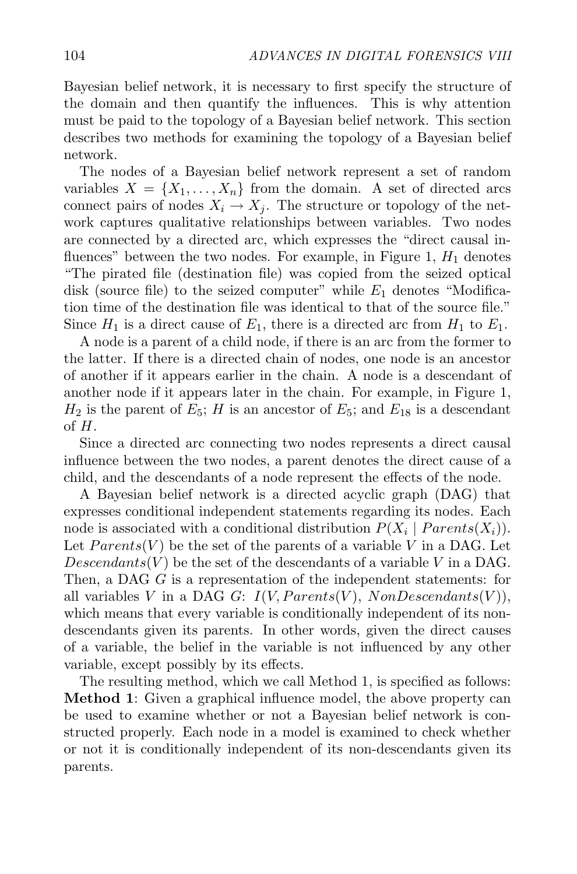Bayesian belief network, it is necessary to first specify the structure of the domain and then quantify the influences. This is why attention must be paid to the topology of a Bayesian belief network. This section describes two methods for examining the topology of a Bayesian belief network.

The nodes of a Bayesian belief network represent a set of random variables  $X = \{X_1, \ldots, X_n\}$  from the domain. A set of directed arcs connect pairs of nodes  $X_i \to X_j$ . The structure or topology of the network captures qualitative relationships between variables. Two nodes are connected by a directed arc, which expresses the "direct causal influences" between the two nodes. For example, in Figure 1,  $H_1$  denotes "The pirated file (destination file) was copied from the seized optical disk (source file) to the seized computer" while  $E_1$  denotes "Modification time of the destination file was identical to that of the source file." Since  $H_1$  is a direct cause of  $E_1$ , there is a directed arc from  $H_1$  to  $E_1$ .

A node is a parent of a child node, if there is an arc from the former to the latter. If there is a directed chain of nodes, one node is an ancestor of another if it appears earlier in the chain. A node is a descendant of another node if it appears later in the chain. For example, in Figure 1,  $H_2$  is the parent of  $E_5$ ; H is an ancestor of  $E_5$ ; and  $E_{18}$  is a descendant of H.

Since a directed arc connecting two nodes represents a direct causal influence between the two nodes, a parent denotes the direct cause of a child, and the descendants of a node represent the effects of the node.

A Bayesian belief network is a directed acyclic graph (DAG) that expresses conditional independent statements regarding its nodes. Each node is associated with a conditional distribution  $P(X_i | Parents(X_i)).$ Let  $Parents(V)$  be the set of the parents of a variable V in a DAG. Let Descendants(V) be the set of the descendants of a variable V in a DAG. Then, a DAG G is a representation of the independent statements: for all variables V in a DAG G:  $I(V, Parents(V), NonDescendants(V)),$ which means that every variable is conditionally independent of its nondescendants given its parents. In other words, given the direct causes of a variable, the belief in the variable is not influenced by any other variable, except possibly by its effects.

The resulting method, which we call Method 1, is specified as follows: **Method 1**: Given a graphical influence model, the above property can be used to examine whether or not a Bayesian belief network is constructed properly. Each node in a model is examined to check whether or not it is conditionally independent of its non-descendants given its parents.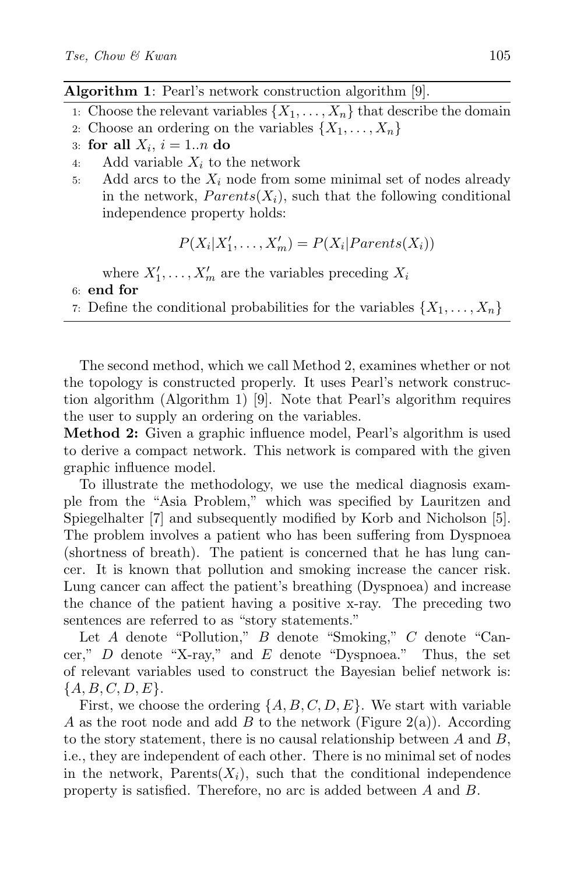**Algorithm 1**: Pearl's network construction algorithm [9].

- 1: Choose the relevant variables  $\{X_1,\ldots,X_n\}$  that describe the domain
- 2: Choose an ordering on the variables  $\{X_1,\ldots,X_n\}$
- 3: **for all**  $X_i$ ,  $i = 1..n$  **do**
- 4: Add variable  $X_i$  to the network
- 5: Add arcs to the  $X_i$  node from some minimal set of nodes already in the network,  $Parents(X_i)$ , such that the following conditional independence property holds:

$$
P(X_i|X'_1,\ldots,X'_m) = P(X_i|Parents(X_i))
$$

where  $X'_1, \ldots, X'_m$  are the variables preceding  $X_i$ 

- 6: **end for**
- 7: Define the conditional probabilities for the variables  $\{X_1, \ldots, X_n\}$

The second method, which we call Method 2, examines whether or not the topology is constructed properly. It uses Pearl's network construction algorithm (Algorithm 1) [9]. Note that Pearl's algorithm requires the user to supply an ordering on the variables.

**Method 2:** Given a graphic influence model, Pearl's algorithm is used to derive a compact network. This network is compared with the given graphic influence model.

To illustrate the methodology, we use the medical diagnosis example from the "Asia Problem," which was specified by Lauritzen and Spiegelhalter [7] and subsequently modified by Korb and Nicholson [5]. The problem involves a patient who has been suffering from Dyspnoea (shortness of breath). The patient is concerned that he has lung cancer. It is known that pollution and smoking increase the cancer risk. Lung cancer can affect the patient's breathing (Dyspnoea) and increase the chance of the patient having a positive x-ray. The preceding two sentences are referred to as "story statements."

Let A denote "Pollution," B denote "Smoking," C denote "Cancer,"  $D$  denote "X-ray," and  $E$  denote "Dyspnoea." Thus, the set of relevant variables used to construct the Bayesian belief network is:  ${A, B, C, D, E}.$ 

First, we choose the ordering  $\{A, B, C, D, E\}$ . We start with variable A as the root node and add B to the network (Figure 2(a)). According to the story statement, there is no causal relationship between  $A$  and  $B$ , i.e., they are independent of each other. There is no minimal set of nodes in the network,  $Parents(X_i)$ , such that the conditional independence property is satisfied. Therefore, no arc is added between A and B.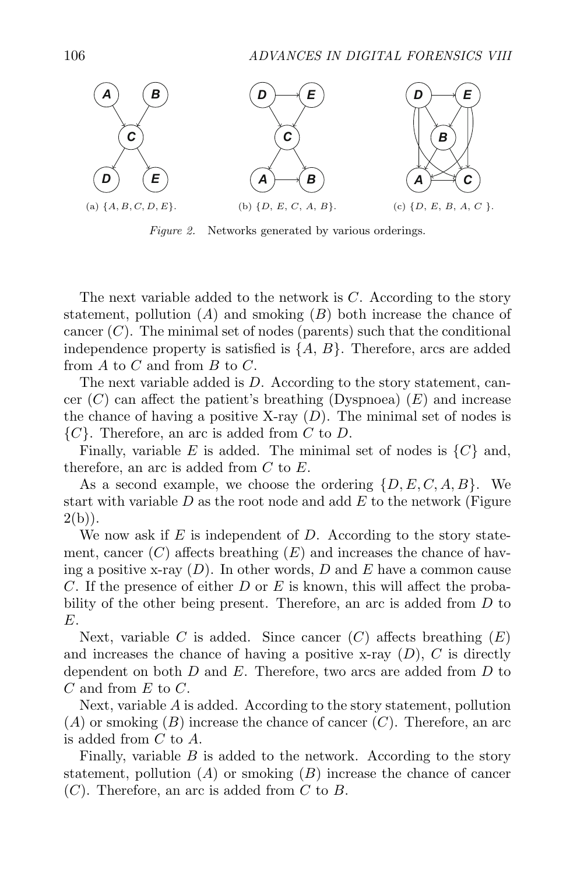

Figure 2. Networks generated by various orderings.

The next variable added to the network is  $C$ . According to the story statement, pollution  $(A)$  and smoking  $(B)$  both increase the chance of cancer  $(C)$ . The minimal set of nodes (parents) such that the conditional independence property is satisfied is  $\{A, B\}$ . Therefore, arcs are added from  $A$  to  $C$  and from  $B$  to  $C$ .

The next variable added is D. According to the story statement, cancer  $(C)$  can affect the patient's breathing (Dyspnoea)  $(E)$  and increase the chance of having a positive X-ray  $(D)$ . The minimal set of nodes is  $\{C\}$ . Therefore, an arc is added from C to D.

Finally, variable E is added. The minimal set of nodes is  $\{C\}$  and, therefore, an arc is added from  $C$  to  $E$ .

As a second example, we choose the ordering  $\{D, E, C, A, B\}$ . We start with variable  $D$  as the root node and add  $E$  to the network (Figure  $2(b)$ ).

We now ask if  $E$  is independent of  $D$ . According to the story statement, cancer  $(C)$  affects breathing  $(E)$  and increases the chance of having a positive x-ray  $(D)$ . In other words, D and E have a common cause C. If the presence of either  $D$  or  $E$  is known, this will affect the probability of the other being present. Therefore, an arc is added from D to E.

Next, variable C is added. Since cancer  $(C)$  affects breathing  $(E)$ and increases the chance of having a positive x-ray  $(D)$ , C is directly dependent on both  $D$  and  $E$ . Therefore, two arcs are added from  $D$  to  $C$  and from  $E$  to  $C$ .

Next, variable A is added. According to the story statement, pollution  $(A)$  or smoking  $(B)$  increase the chance of cancer  $(C)$ . Therefore, an arc is added from C to A.

Finally, variable B is added to the network. According to the story statement, pollution  $(A)$  or smoking  $(B)$  increase the chance of cancer  $(C)$ . Therefore, an arc is added from C to B.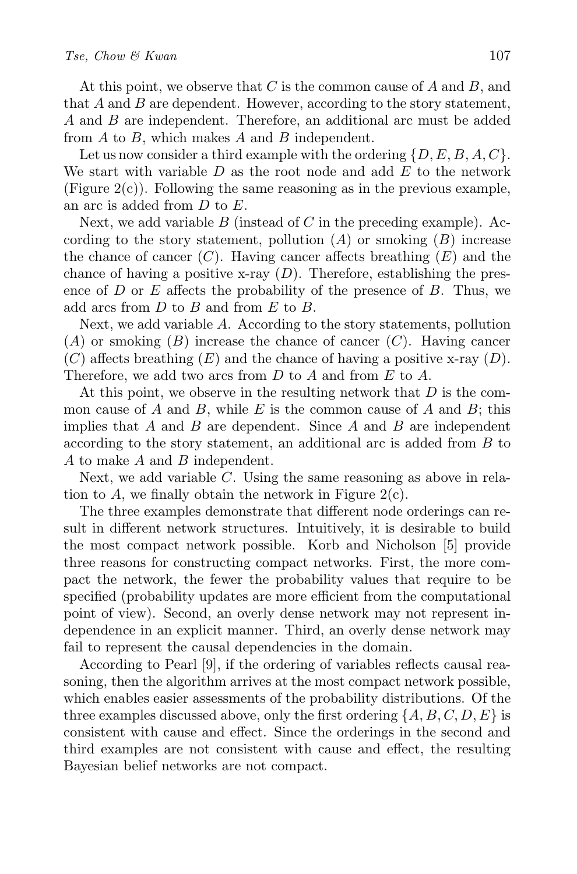At this point, we observe that C is the common cause of A and B, and that A and B are dependent. However, according to the story statement, A and B are independent. Therefore, an additional arc must be added from A to B, which makes A and B independent.

Let us now consider a third example with the ordering  $\{D, E, B, A, C\}$ . We start with variable  $D$  as the root node and add  $E$  to the network (Figure  $2(c)$ ). Following the same reasoning as in the previous example, an arc is added from D to E.

Next, we add variable  $B$  (instead of  $C$  in the preceding example). According to the story statement, pollution  $(A)$  or smoking  $(B)$  increase the chance of cancer  $(C)$ . Having cancer affects breathing  $(E)$  and the chance of having a positive x-ray  $(D)$ . Therefore, establishing the presence of  $D$  or  $E$  affects the probability of the presence of  $B$ . Thus, we add arcs from  $D$  to  $B$  and from  $E$  to  $B$ .

Next, we add variable A. According to the story statements, pollution  $(A)$  or smoking  $(B)$  increase the chance of cancer  $(C)$ . Having cancer  $(C)$  affects breathing  $(E)$  and the chance of having a positive x-ray  $(D)$ . Therefore, we add two arcs from D to A and from E to A.

At this point, we observe in the resulting network that  $D$  is the common cause of A and B, while E is the common cause of A and B; this implies that  $A$  and  $B$  are dependent. Since  $A$  and  $B$  are independent according to the story statement, an additional arc is added from B to A to make A and B independent.

Next, we add variable  $C$ . Using the same reasoning as above in relation to A, we finally obtain the network in Figure  $2(c)$ .

The three examples demonstrate that different node orderings can result in different network structures. Intuitively, it is desirable to build the most compact network possible. Korb and Nicholson [5] provide three reasons for constructing compact networks. First, the more compact the network, the fewer the probability values that require to be specified (probability updates are more efficient from the computational point of view). Second, an overly dense network may not represent independence in an explicit manner. Third, an overly dense network may fail to represent the causal dependencies in the domain.

According to Pearl [9], if the ordering of variables reflects causal reasoning, then the algorithm arrives at the most compact network possible, which enables easier assessments of the probability distributions. Of the three examples discussed above, only the first ordering  $\{A, B, C, D, E\}$  is consistent with cause and effect. Since the orderings in the second and third examples are not consistent with cause and effect, the resulting Bayesian belief networks are not compact.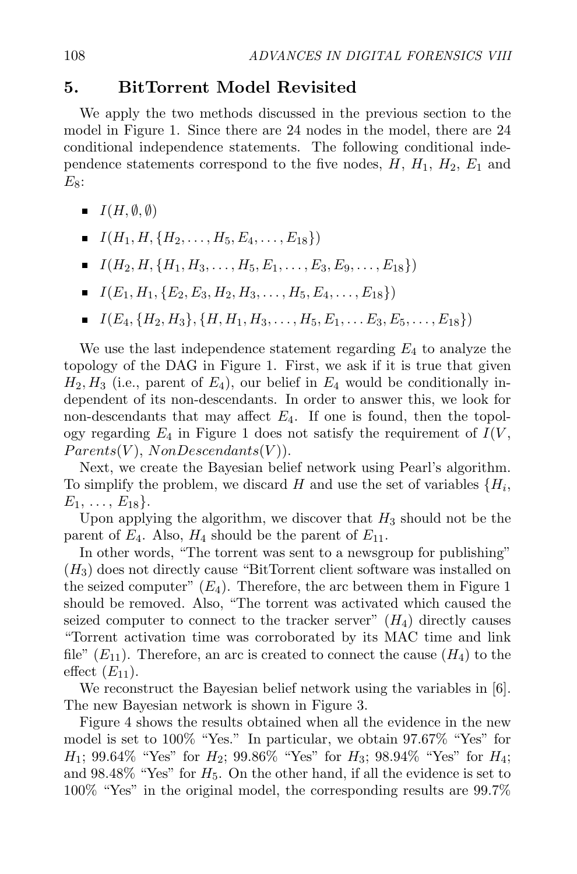#### **5. BitTorrent Model Revisited**

We apply the two methods discussed in the previous section to the model in Figure 1. Since there are 24 nodes in the model, there are 24 conditional independence statements. The following conditional independence statements correspond to the five nodes,  $H$ ,  $H_1$ ,  $H_2$ ,  $E_1$  and  $E_8$ :

- $I(H, \emptyset, \emptyset)$
- $I(H_1, H, \{H_2, \ldots, H_5, E_4, \ldots, E_{18}\})$
- $I(H_2, H, \{H_1, H_3, \ldots, H_5, E_1, \ldots, E_3, E_9, \ldots, E_{18}\})$
- $I(E_1, H_1, \{E_2, E_3, H_2, H_3, \ldots, H_5, E_4, \ldots, E_{18}\})$
- $I(E_4, \{H_2, H_3\}, \{H, H_1, H_3, \ldots, H_5, E_1, \ldots, E_3, E_5, \ldots, E_{18}\})$

We use the last independence statement regarding  $E_4$  to analyze the topology of the DAG in Figure 1. First, we ask if it is true that given  $H_2, H_3$  (i.e., parent of  $E_4$ ), our belief in  $E_4$  would be conditionally independent of its non-descendants. In order to answer this, we look for non-descendants that may affect  $E_4$ . If one is found, then the topology regarding  $E_4$  in Figure 1 does not satisfy the requirement of  $I(V,$  $Parents(V), NonDescendants(V)).$ 

Next, we create the Bayesian belief network using Pearl's algorithm. To simplify the problem, we discard H and use the set of variables  $\{H_i,$  $E_1, \ldots, E_{18}$ .

Upon applying the algorithm, we discover that  $H_3$  should not be the parent of  $E_4$ . Also,  $H_4$  should be the parent of  $E_{11}$ .

In other words, "The torrent was sent to a newsgroup for publishing"  $(H_3)$  does not directly cause "BitTorrent client software was installed on the seized computer"  $(E_4)$ . Therefore, the arc between them in Figure 1 should be removed. Also, "The torrent was activated which caused the seized computer to connect to the tracker server"  $(H_4)$  directly causes "Torrent activation time was corroborated by its MAC time and link file"  $(E_{11})$ . Therefore, an arc is created to connect the cause  $(H_4)$  to the effect  $(E_{11})$ .

We reconstruct the Bayesian belief network using the variables in [6]. The new Bayesian network is shown in Figure 3.

Figure 4 shows the results obtained when all the evidence in the new model is set to 100% "Yes." In particular, we obtain 97.67% "Yes" for  $H_1$ ; 99.64% "Yes" for  $H_2$ ; 99.86% "Yes" for  $H_3$ ; 98.94% "Yes" for  $H_4$ ; and 98.48% "Yes" for  $H_5$ . On the other hand, if all the evidence is set to 100% "Yes" in the original model, the corresponding results are 99.7%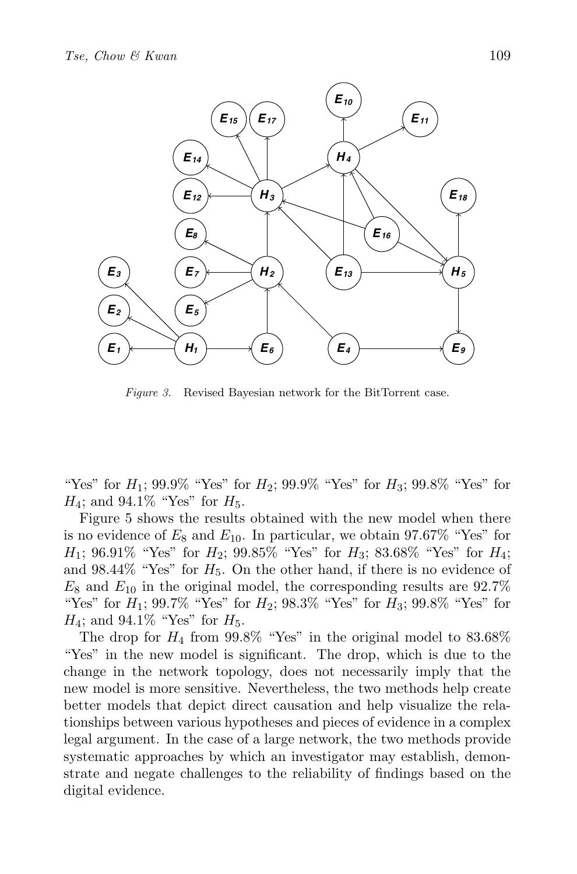

Figure 3. Revised Bayesian network for the BitTorrent case.

"Yes" for  $H_1$ ; 99.9% "Yes" for  $H_2$ ; 99.9% "Yes" for  $H_3$ ; 99.8% "Yes" for  $H_4$ ; and 94.1% "Yes" for  $H_5$ .

Figure 5 shows the results obtained with the new model when there is no evidence of  $E_8$  and  $E_{10}$ . In particular, we obtain 97.67% "Yes" for  $H_1$ ; 96.91% "Yes" for  $H_2$ ; 99.85% "Yes" for  $H_3$ ; 83.68% "Yes" for  $H_4$ ; and  $98.44\%$  "Yes" for  $H_5$ . On the other hand, if there is no evidence of  $E_8$  and  $E_{10}$  in the original model, the corresponding results are 92.7% "Yes" for  $H_1$ ; 99.7% "Yes" for  $H_2$ ; 98.3% "Yes" for  $H_3$ ; 99.8% "Yes" for  $H_4$ ; and 94.1\% "Yes" for  $H_5$ .

The drop for  $H_4$  from 99.8% "Yes" in the original model to 83.68% "Yes" in the new model is significant. The drop, which is due to the change in the network topology, does not necessarily imply that the new model is more sensitive. Nevertheless, the two methods help create better models that depict direct causation and help visualize the relationships between various hypotheses and pieces of evidence in a complex legal argument. In the case of a large network, the two methods provide systematic approaches by which an investigator may establish, demonstrate and negate challenges to the reliability of findings based on the digital evidence.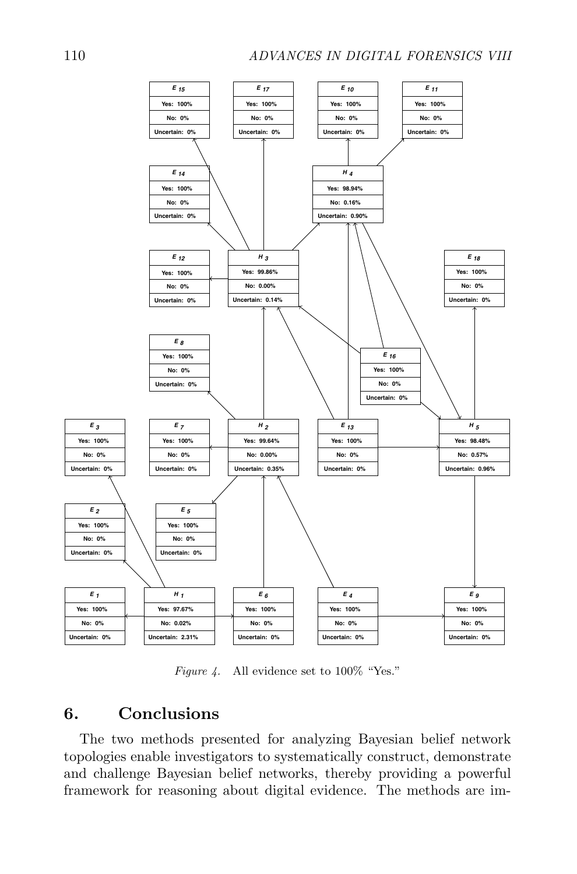110 ADVANCES IN DIGITAL FORENSICS VIII



Figure 4. All evidence set to 100% "Yes."

#### **6. Conclusions**

The two methods presented for analyzing Bayesian belief network topologies enable investigators to systematically construct, demonstrate and challenge Bayesian belief networks, thereby providing a powerful framework for reasoning about digital evidence. The methods are im-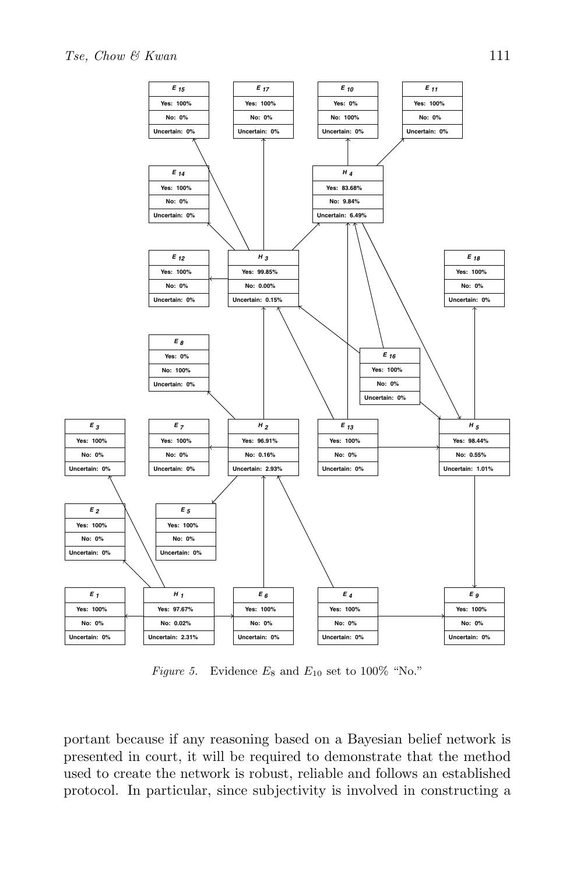

Figure 5. Evidence  $E_8$  and  $E_{10}$  set to 100% "No."

portant because if any reasoning based on a Bayesian belief network is presented in court, it will be required to demonstrate that the method used to create the network is robust, reliable and follows an established protocol. In particular, since subjectivity is involved in constructing a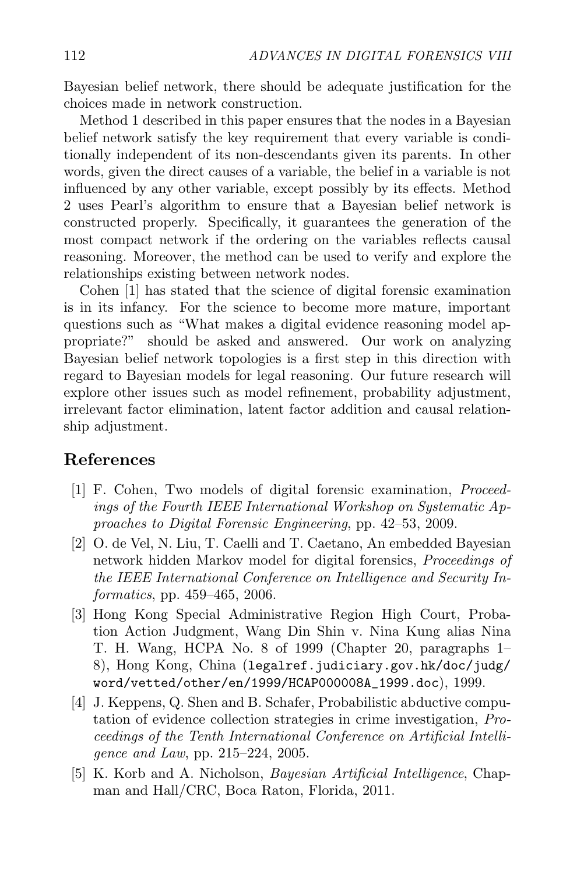Bayesian belief network, there should be adequate justification for the choices made in network construction.

Method 1 described in this paper ensures that the nodes in a Bayesian belief network satisfy the key requirement that every variable is conditionally independent of its non-descendants given its parents. In other words, given the direct causes of a variable, the belief in a variable is not influenced by any other variable, except possibly by its effects. Method 2 uses Pearl's algorithm to ensure that a Bayesian belief network is constructed properly. Specifically, it guarantees the generation of the most compact network if the ordering on the variables reflects causal reasoning. Moreover, the method can be used to verify and explore the relationships existing between network nodes.

Cohen [1] has stated that the science of digital forensic examination is in its infancy. For the science to become more mature, important questions such as "What makes a digital evidence reasoning model appropriate?" should be asked and answered. Our work on analyzing Bayesian belief network topologies is a first step in this direction with regard to Bayesian models for legal reasoning. Our future research will explore other issues such as model refinement, probability adjustment, irrelevant factor elimination, latent factor addition and causal relationship adjustment.

#### **References**

- [1] F. Cohen, Two models of digital forensic examination, Proceedings of the Fourth IEEE International Workshop on Systematic Approaches to Digital Forensic Engineering, pp. 42–53, 2009.
- [2] O. de Vel, N. Liu, T. Caelli and T. Caetano, An embedded Bayesian network hidden Markov model for digital forensics, Proceedings of the IEEE International Conference on Intelligence and Security Informatics, pp. 459–465, 2006.
- [3] Hong Kong Special Administrative Region High Court, Probation Action Judgment, Wang Din Shin v. Nina Kung alias Nina T. H. Wang, HCPA No. 8 of 1999 (Chapter 20, paragraphs 1– 8), Hong Kong, China (legalref.judiciary.gov.hk/doc/judg/ word/vetted/other/en/1999/HCAP000008A\_1999.doc), 1999.
- [4] J. Keppens, Q. Shen and B. Schafer, Probabilistic abductive computation of evidence collection strategies in crime investigation, Proceedings of the Tenth International Conference on Artificial Intelligence and Law, pp. 215–224, 2005.
- [5] K. Korb and A. Nicholson, Bayesian Artificial Intelligence, Chapman and Hall/CRC, Boca Raton, Florida, 2011.